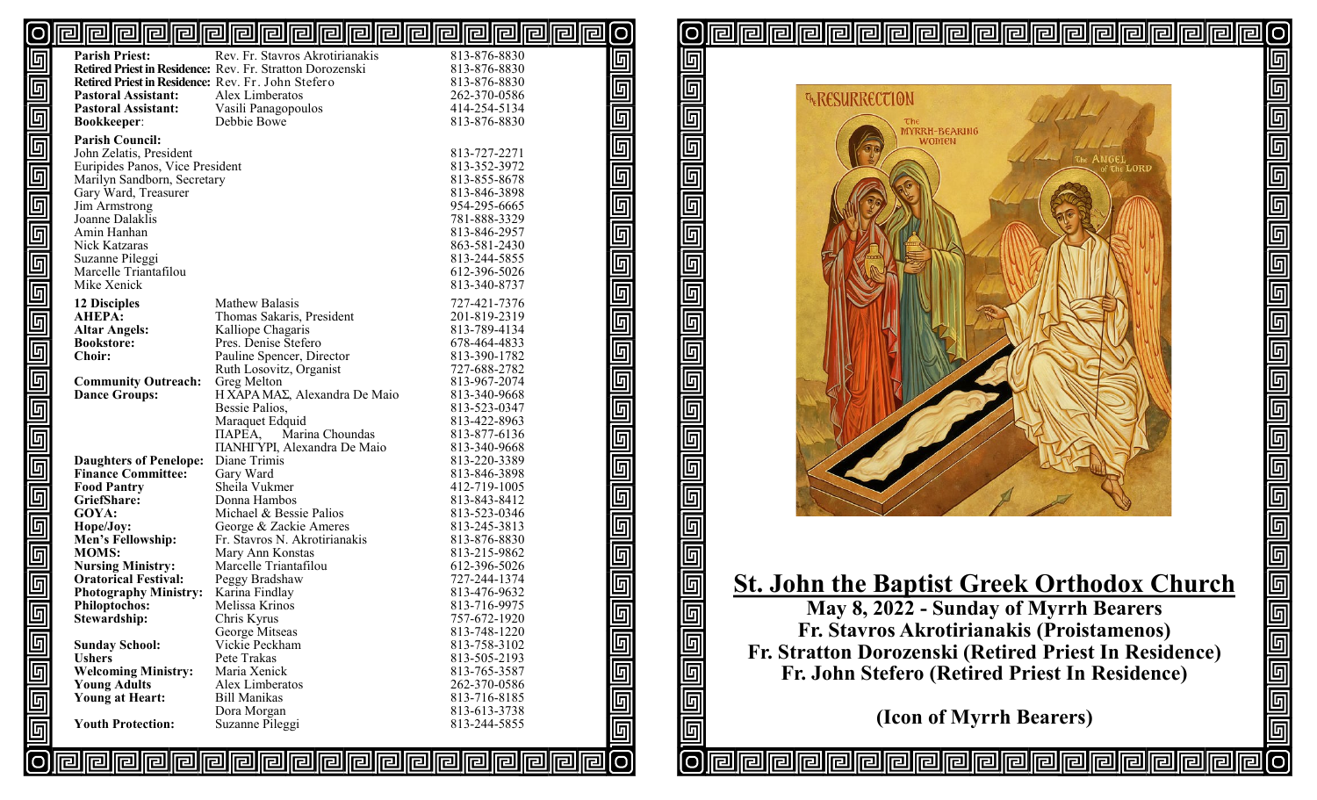#### <u>pipipipipipipipipipipipipipipipipi</u> [O [O

| 回                              | <b>Parish Priest:</b>                              | Rev. Fr. Stavros Akrotirianakis                           | 813-876-8830                           |
|--------------------------------|----------------------------------------------------|-----------------------------------------------------------|----------------------------------------|
|                                |                                                    | Retired Priest in Residence: Rev. Fr. Stratton Dorozenski | 813-876-8830                           |
| $\overline{\mathbb{F}}$        | Retired Priest in Residence: Rev. Fr. John Stefero |                                                           | 813-876-8830                           |
|                                | <b>Pastoral Assistant:</b>                         | Alex Limberatos                                           | 262-370-0586                           |
|                                | <b>Pastoral Assistant:</b>                         | Vasili Panagopoulos                                       | 414-254-5134                           |
|                                | <b>Bookkeeper:</b>                                 | Debbie Bowe                                               | 813-876-8830                           |
|                                | <b>Parish Council:</b>                             |                                                           |                                        |
|                                | John Zelatis, President                            |                                                           | 813-727-2271                           |
|                                | Euripides Panos, Vice President                    |                                                           | 813-352-3972                           |
|                                | Marilyn Sandborn, Secretary                        |                                                           | 813-855-8678                           |
|                                | Gary Ward, Treasurer                               |                                                           | 813-846-3898                           |
|                                | Jim Armstrong                                      |                                                           | 954-295-6665                           |
|                                | Joanne Dalaklis                                    |                                                           | 781-888-3329                           |
|                                | Amin Hanhan                                        |                                                           |                                        |
|                                |                                                    |                                                           | 813-846-2957                           |
|                                | Nick Katzaras                                      |                                                           | 863-581-2430                           |
|                                | Suzanne Pileggi                                    |                                                           | 813-244-5855                           |
|                                | Marcelle Triantafilou                              |                                                           | 612-396-5026                           |
| لمالوالوالوالوا والوالوالوالوا | Mike Xenick                                        |                                                           | 813-340-8737                           |
|                                | <b>12 Disciples</b>                                | Mathew Balasis                                            | 727-421-7376                           |
|                                | <b>AHEPA:</b>                                      | Thomas Sakaris, President                                 | 201-819-2319                           |
|                                | <b>Altar Angels:</b>                               | Kalliope Chagaris                                         | 813-789-4134                           |
|                                | <b>Bookstore:</b>                                  | Pres. Denise Stefero                                      | 678-464-4833                           |
|                                | <b>Choir:</b>                                      | Pauline Spencer, Director                                 | 813-390-1782                           |
|                                |                                                    | Ruth Losovitz, Organist                                   | 727-688-2782                           |
|                                | <b>Community Outreach:</b>                         | Greg Melton                                               | 813-967-2074                           |
|                                | <b>Dance Groups:</b>                               | H XAPA MAΣ, Alexandra De Maio                             | 813-340-9668                           |
| 回回回                            |                                                    | Bessie Palios,                                            | 813-523-0347                           |
|                                |                                                    | Maraquet Edquid                                           | 813-422-8963                           |
|                                |                                                    | Marina Choundas<br>$\Pi$ APEA,                            | 813-877-6136                           |
|                                |                                                    | <b>ΠΑΝΗΓΥΡΙ, Alexandra De Maio</b>                        | 813-340-9668                           |
|                                | <b>Daughters of Penelope:</b>                      | Diane Trimis                                              | 813-220-3389                           |
|                                | <b>Finance Committee:</b>                          | Gary Ward                                                 | 813-846-3898                           |
|                                | <b>Food Pantry</b>                                 | Sheila Vukmer                                             | 412-719-1005                           |
|                                | GriefShare:                                        | Donna Hambos                                              | 813-843-8412                           |
|                                | GOYA:                                              | Michael & Bessie Palios                                   | 813-523-0346                           |
|                                |                                                    |                                                           |                                        |
|                                | Hope/Joy:                                          | George & Zackie Ameres                                    | 813-245-3813                           |
| <u>لعارها رحارها</u>           | Men's Fellowship:<br><b>MOMS:</b>                  | Fr. Stavros N. Akrotirianakis<br>Mary Ann Konstas         | 813-876-8830<br>813-215-9862           |
|                                | <b>Nursing Ministry:</b>                           | Marcelle Triantafilou                                     | 612-396-5026                           |
|                                | <b>Oratorical Festival:</b>                        |                                                           | 727-244-1374                           |
|                                |                                                    | Peggy Bradshaw                                            | 813-476-9632                           |
|                                | <b>Photography Ministry:</b>                       | Karina Findlay<br>Melissa Krinos                          |                                        |
| $\overline{\blacksquare}$      | <b>Philoptochos:</b>                               |                                                           | 813-716-9975                           |
|                                | Stewardship:                                       | Chris Kyrus                                               | 757-672-1920<br>813-748-1220           |
|                                |                                                    | George Mitseas<br>Vickie Peckham                          | 813-758-3102                           |
|                                | <b>Sunday School:</b><br><b>Ushers</b>             | Pete Trakas                                               |                                        |
|                                |                                                    |                                                           | 813-505-2193                           |
|                                | <b>Welcoming Ministry:</b>                         | Maria Xenick                                              | 813-765-3587                           |
|                                | <b>Young Adults</b>                                | Alex Limberatos<br><b>Bill Manikas</b>                    | 262-370-0586                           |
|                                | <b>Young at Heart:</b>                             |                                                           | 813-716-8185<br>813-613-3738           |
|                                | <b>Youth Protection:</b>                           | Dora Morgan<br>Suzanne Pileggi                            |                                        |
| 回回回回                           |                                                    |                                                           | 813-244-5855                           |
|                                |                                                    |                                                           |                                        |
|                                |                                                    |                                                           | <u>olololololololololololololololo</u> |
|                                |                                                    |                                                           |                                        |

匠 回  $\overline{\mathbb{F}}$  $\overline{\mathbb{F}}$ 匠 回  $\overline{\mathbb{F}}$ 回 回 回  $\overline{\mathbb{F}}$  $\overline{\mathbb{F}}$ <u>同</u> 回 回  $\overline{\mathbb{F}}$ 回 匠 回 Ю

 $\overline{\mathbb{F}}$ 

回 回 回<br>回 回

 $\overline{\mathbb{F}}$ 

 $\overline{\mathbb{F}}$ 

 $\overline{\mathbb{F}}$ 

<u>G</u>

 $\overline{\mathbb{F}}$ 

 $\overline{\mathbb{F}}$ 

 $\overline{\mathbb{F}}$ 

ſо



 $\overline{O}$ 

 $\overline{\mathbb{F}}$ 

elelele

<u> هاهاهاهاهاهاهاهاها</u>

<u>ල</u>

## **St. John the Baptist Greek Orthodox Church**

**May 8, 2022 - Sunday of Myrrh Bearers Fr. Stavros Akrotirianakis (Proistamenos) Fr. Stratton Dorozenski (Retired Priest In Residence) Fr. John Stefero (Retired Priest In Residence)**

**(Icon of Myrrh Bearers)**

rellieilleil

<u>rallal</u>

121

同同

囘

rellirei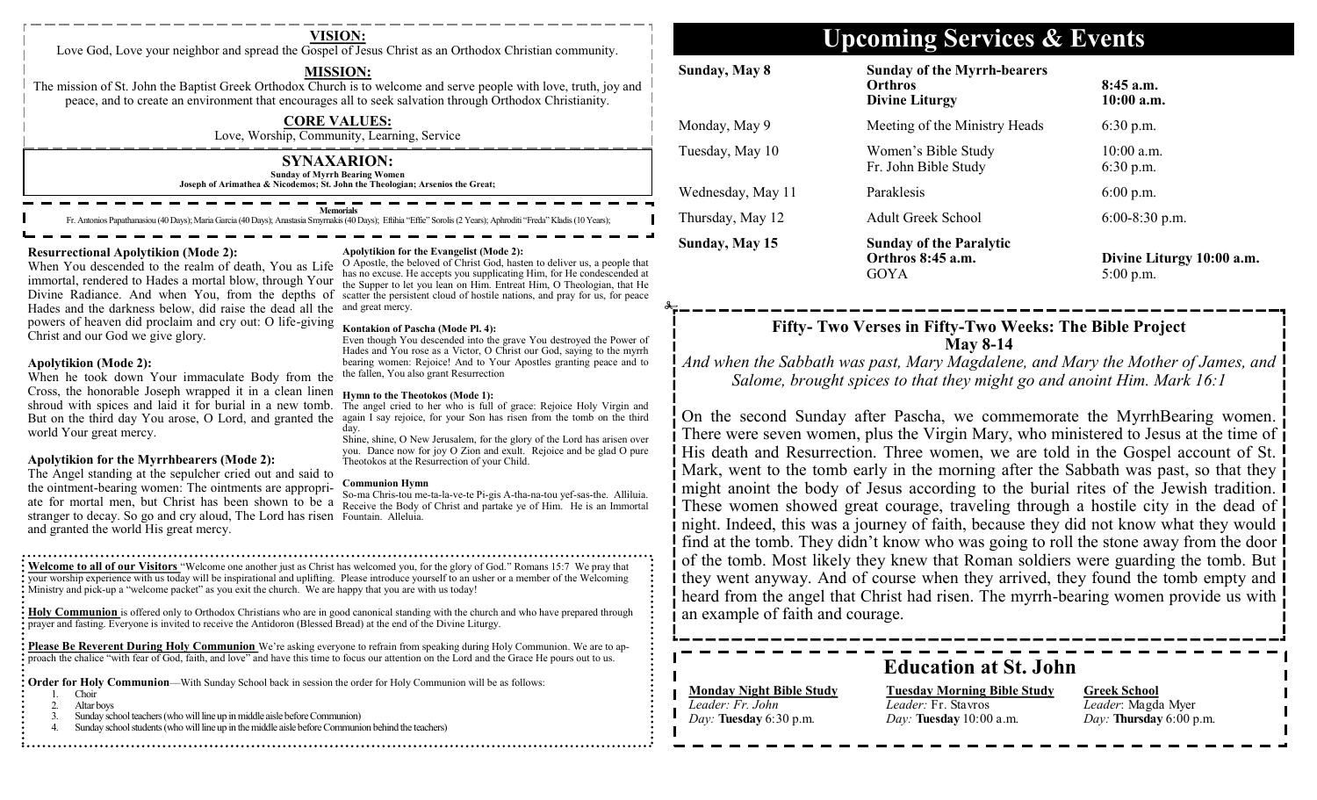Love God, Love your neighbor and spread the Gospel of Jesus Christ as an Orthodox Christian community.

### **MISSION:**

The mission of St. John the Baptist Greek Orthodox Church is to welcome and serve people with love, truth, joy and peace, and to create an environment that encourages all to seek salvation through Orthodox Christianity.

> **CORE VALUES:** Love, Worship, Community, Learning, Service

**SYNAXARION: Sunday of Myrrh Bearing Women Joseph of Arimathea & Nicodemos; St. John the Theologian; Arsenios the Great;**

#### **Memorial**

Fr. Antonios Papathanasiou (40 Days); Maria Garcia (40 Days); Anastasia Smyrnakis (40 Days); Eftihia

### **Resurrectional Apolytikion (Mode 2):**

When You descended to the realm of death, You as Life immortal, rendered to Hades a mortal blow, through Your Divine Radiance. And when You, from the depths of scatter the persistent cloud of hostile nations, and pray for us, for peace Hades and the darkness below, did raise the dead all the and great mercy. powers of heaven did proclaim and cry out: O life-giving Christ and our God we give glory.

### **Apolytikion (Mode 2):**

When he took down Your immaculate Body from the Cross, the honorable Joseph wrapped it in a clean linen shroud with spices and laid it for burial in a new tomb. But on the third day You arose, O Lord, and granted the again I say rejoice, for your Son has risen from the tomb on the third world Your great mercy.

### **Apolytikion for the Myrrhbearers (Mode 2):**

The Angel standing at the sepulcher cried out and said to the ointment-bearing women: The ointments are appropriate for mortal men, but Christ has been shown to be a stranger to decay. So go and cry aloud, The Lord has risen Fountain. Alleluia. and granted the world His great mercy.

#### **Apolytikion for the Evangelist (Mode 2):**

O Apostle, the beloved of Christ God, hasten to deliver us, a people that has no excuse. He accepts you supplicating Him, for He condescended at the Supper to let you lean on Him. Entreat Him, O Theologian, that He

#### **Kontakion of Pascha (Mode Pl. 4):**

Even though You descended into the grave You destroyed the Power of Hades and You rose as a Victor, O Christ our God, saying to the myrrh bearing women: Rejoice! And to Your Apostles granting peace and to the fallen, You also grant Resurrection

#### **Hymn to the Theotokos (Mode 1):**

The angel cried to her who is full of grace: Rejoice Holy Virgin and day.

Shine, shine, O New Jerusalem, for the glory of the Lord has arisen over you. Dance now for joy O Zion and exult. Rejoice and be glad O pure Theotokos at the Resurrection of your Child.

#### **Communion Hymn**

So-ma Chris-tou me-ta-la-ve-te Pi-gis A-tha-na-tou yef-sas-the. Alliluia. Receive the Body of Christ and partake ye of Him. He is an Immortal

**Welcome to all of our Visitors** "Welcome one another just as Christ has welcomed you, for the glory of God." Romans 15:7 We pray that your worship experience with us today will be inspirational and uplifting. Please introduce yourself to an usher or a member of the Welcoming Ministry and pick-up a "welcome packet" as you exit the church. We are happy that you are with us today!

**Holy Communion** is offered only to Orthodox Christians who are in good canonical standing with the church and who have prepared through prayer and fasting. Everyone is invited to receive the Antidoron (Blessed Bread) at the end of the Divine Liturgy.

**Please Be Reverent During Holy Communion** We're asking everyone to refrain from speaking during Holy Communion. We are to approach the chalice "with fear of God, faith, and love" and have this time to focus our attention on the Lord and the Grace He pours out to us.

**Order for Holy Communion—With Sunday School back in session the order for Holy Communion will be as follows:** 

- 1. Choir<br>2. Altarl
- Altar boys
- 3. Sunday school teachers (who will line up in middle aisle before Communion)
- Sunday school students (who will line up in the middle aisle before Communion behind the teachers)

## **Upcoming Services & Events VISION:**

| Sunday, May 8     | <b>Sunday of the Myrrh-bearers</b><br><b>Orthros</b><br><b>Divine Liturgy</b> | $8:45$ a.m.<br>$10:00$ a.m.              |
|-------------------|-------------------------------------------------------------------------------|------------------------------------------|
| Monday, May 9     | Meeting of the Ministry Heads                                                 | $6:30$ p.m.                              |
| Tuesday, May 10   | Women's Bible Study<br>Fr. John Bible Study                                   | $10:00$ a.m.<br>$6:30$ p.m.              |
| Wednesday, May 11 | Paraklesis                                                                    | $6:00$ p.m.                              |
| Thursday, May 12  | <b>Adult Greek School</b>                                                     | $6:00-8:30$ p.m.                         |
| Sunday, May 15    | <b>Sunday of the Paralytic</b><br>Orthros 8:45 a.m.<br>GOYA                   | Divine Liturgy 10:00 a.m.<br>$5:00$ p.m. |

### **Fifty- Two Verses in Fifty-Two Weeks: The Bible Project May 8-14**

*And when the Sabbath was past, Mary Magdalene, and Mary the Mother of James, and Salome, brought spices to that they might go and anoint Him. Mark 16:1* 

On the second Sunday after Pascha, we commemorate the MyrrhBearing women. There were seven women, plus the Virgin Mary, who ministered to Jesus at the time of His death and Resurrection. Three women, we are told in the Gospel account of St. Mark, went to the tomb early in the morning after the Sabbath was past, so that they might anoint the body of Jesus according to the burial rites of the Jewish tradition. These women showed great courage, traveling through a hostile city in the dead of night. Indeed, this was a journey of faith, because they did not know what they would find at the tomb. They didn't know who was going to roll the stone away from the door of the tomb. Most likely they knew that Roman soldiers were guarding the tomb. But they went anyway. And of course when they arrived, they found the tomb empty and heard from the angel that Christ had risen. The myrrh-bearing women provide us with an example of faith and courage.

**Education at St. John**

### **Monday Night Bible Study** *Leader: Fr. John Day:* **Tuesday** 6:30 p.m.

**Tuesday Morning Bible Study** *Leader:* Fr. Stavros *Day:* **Tuesday** 10:00 a.m.

**Greek School** *Leader*: Magda Myer *Day:* **Thursday** 6:00 p.m.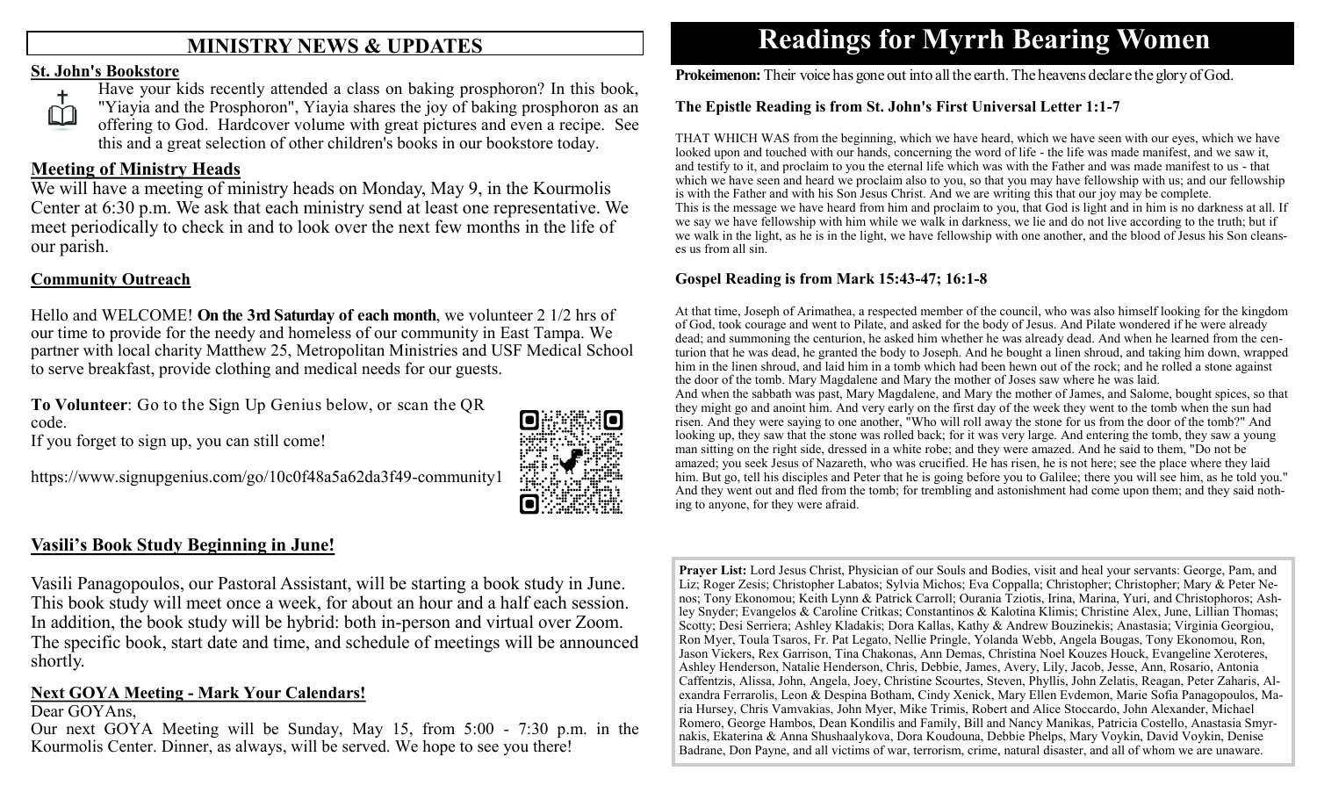## **MINISTRY NEWS & UPDATES**

### **St. John's Bookstore**



Have your kids recently attended a class on baking prosphoron? In this book, "Yiayia and the Prosphoron", Yiayia shares the joy of baking prosphoron as an offering to God. Hardcover volume with great pictures and even a recipe. See this and a great selection of other children's books in our bookstore today.

## **Meeting of Ministry Heads**

We will have a meeting of ministry heads on Monday, May 9, in the Kourmolis Center at 6:30 p.m. We ask that each ministry send at least one representative. We meet periodically to check in and to look over the next few months in the life of our parish.

## **Community Outreach**

Hello and WELCOME! **On the 3rd Saturday of each month**, we volunteer 2 1/2 hrs of our time to provide for the needy and homeless of our community in East Tampa. We partner with local charity Matthew 25, Metropolitan Ministries and USF Medical School to serve breakfast, provide clothing and medical needs for our guests.

**To Volunteer**: Go to the Sign Up Genius below, or scan the QR code.

If you forget to sign up, you can still come!

https://www.signupgenius.com/go/10c0f48a5a62da3f49-community1



## **Vasili's Book Study Beginning in June!**

Vasili Panagopoulos, our Pastoral Assistant, will be starting a book study in June. This book study will meet once a week, for about an hour and a half each session. In addition, the book study will be hybrid: both in-person and virtual over Zoom. The specific book, start date and time, and schedule of meetings will be announced shortly.

## **Next GOYA Meeting - Mark Your Calendars!**

### Dear GOYAns,

Our next GOYA Meeting will be Sunday, May 15, from 5:00 - 7:30 p.m. in the Kourmolis Center. Dinner, as always, will be served. We hope to see you there!

# **Readings for Myrrh Bearing Women**

**Prokeimenon:** Their voice has gone out into all the earth. The heavens declare the glory of God.

### **The Epistle Reading is from St. John's First Universal Letter 1:1-7**

THAT WHICH WAS from the beginning, which we have heard, which we have seen with our eyes, which we have looked upon and touched with our hands, concerning the word of life - the life was made manifest, and we saw it, and testify to it, and proclaim to you the eternal life which was with the Father and was made manifest to us - that which we have seen and heard we proclaim also to you, so that you may have fellowship with us; and our fellowship is with the Father and with his Son Jesus Christ. And we are writing this that our joy may be complete. This is the message we have heard from him and proclaim to you, that God is light and in him is no darkness at all. If we say we have fellowship with him while we walk in darkness, we lie and do not live according to the truth; but if we walk in the light, as he is in the light, we have fellowship with one another, and the blood of Jesus his Son cleanses us from all sin.

### **Gospel Reading is from Mark 15:43-47; 16:1-8**

At that time, Joseph of Arimathea, a respected member of the council, who was also himself looking for the kingdom of God, took courage and went to Pilate, and asked for the body of Jesus. And Pilate wondered if he were already dead; and summoning the centurion, he asked him whether he was already dead. And when he learned from the centurion that he was dead, he granted the body to Joseph. And he bought a linen shroud, and taking him down, wrapped him in the linen shroud, and laid him in a tomb which had been hewn out of the rock; and he rolled a stone against the door of the tomb. Mary Magdalene and Mary the mother of Joses saw where he was laid. And when the sabbath was past, Mary Magdalene, and Mary the mother of James, and Salome, bought spices, so that they might go and anoint him. And very early on the first day of the week they went to the tomb when the sun had risen. And they were saying to one another, "Who will roll away the stone for us from the door of the tomb?" And looking up, they saw that the stone was rolled back; for it was very large. And entering the tomb, they saw a young man sitting on the right side, dressed in a white robe; and they were amazed. And he said to them, "Do not be amazed; you seek Jesus of Nazareth, who was crucified. He has risen, he is not here; see the place where they laid him. But go, tell his disciples and Peter that he is going before you to Galilee; there you will see him, as he told you." And they went out and fled from the tomb; for trembling and astonishment had come upon them; and they said nothing to anyone, for they were afraid.

**Prayer List:** Lord Jesus Christ, Physician of our Souls and Bodies, visit and heal your servants: George, Pam, and Liz; Roger Zesis; Christopher Labatos; Sylvia Michos; Eva Coppalla; Christopher; Christopher; Mary & Peter Nenos; Tony Ekonomou; Keith Lynn & Patrick Carroll; Ourania Tziotis, Irina, Marina, Yuri, and Christophoros; Ashley Snyder; Evangelos & Caroline Critkas; Constantinos & Kalotina Klimis; Christine Alex, June, Lillian Thomas; Scotty; Desi Serriera; Ashley Kladakis; Dora Kallas, Kathy & Andrew Bouzinekis; Anastasia; Virginia Georgiou, Ron Myer, Toula Tsaros, Fr. Pat Legato, Nellie Pringle, Yolanda Webb, Angela Bougas, Tony Ekonomou, Ron, Jason Vickers, Rex Garrison, Tina Chakonas, Ann Demas, Christina Noel Kouzes Houck, Evangeline Xeroteres, Ashley Henderson, Natalie Henderson, Chris, Debbie, James, Avery, Lily, Jacob, Jesse, Ann, Rosario, Antonia Caffentzis, Alissa, John, Angela, Joey, Christine Scourtes, Steven, Phyllis, John Zelatis, Reagan, Peter Zaharis, Alexandra Ferrarolis, Leon & Despina Botham, Cindy Xenick, Mary Ellen Evdemon, Marie Sofia Panagopoulos, Maria Hursey, Chris Vamvakias, John Myer, Mike Trimis, Robert and Alice Stoccardo, John Alexander, Michael Romero, George Hambos, Dean Kondilis and Family, Bill and Nancy Manikas, Patricia Costello, Anastasia Smyrnakis, Ekaterina & Anna Shushaalykova, Dora Koudouna, Debbie Phelps, Mary Voykin, David Voykin, Denise Badrane, Don Payne, and all victims of war, terrorism, crime, natural disaster, and all of whom we are unaware.